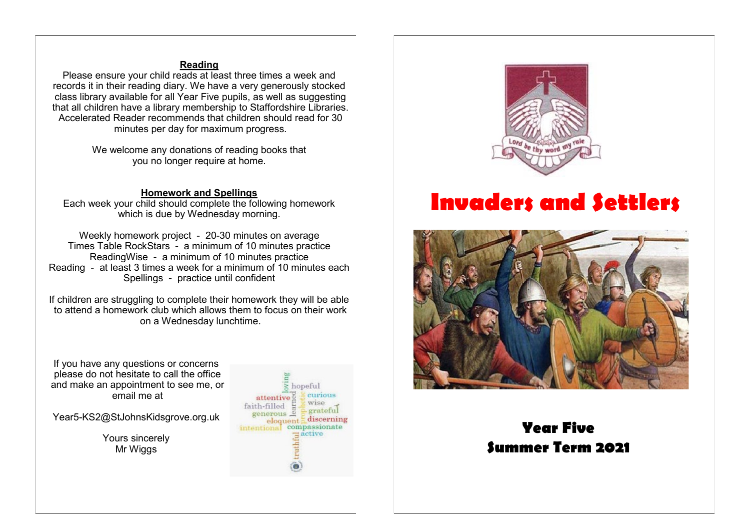## **Reading**

Please ensure your child reads at least three times a week and records it in their reading diary. We have a very generously stocked class library available for all Year Five pupils, as well as suggesting that all children have a library membership to Staffordshire Libraries. Accelerated Reader recommends that children should read for 30 minutes per day for maximum progress.

> We welcome any donations of reading books that you no longer require at home.

#### **Homework and Spellings**

Each week your child should complete the following homework which is due by Wednesday morning.

Weekly homework project - 20-30 minutes on average Times Table RockStars - a minimum of 10 minutes practice ReadingWise - a minimum of 10 minutes practice Reading - at least 3 times a week for a minimum of 10 minutes each Spellings - practice until confident

If children are struggling to complete their homework they will be able to attend a homework club which allows them to focus on their work on a Wednesday lunchtime.

If you have any questions or concerns please do not hesitate to call the office and make an appointment to see me, or email me at

Year5-KS2@StJohnsKidsgrove.org.uk

Yours sincerely Mr Wiggs





# **Invaders and Settlers**



# **Year Five Summer Term 2021**